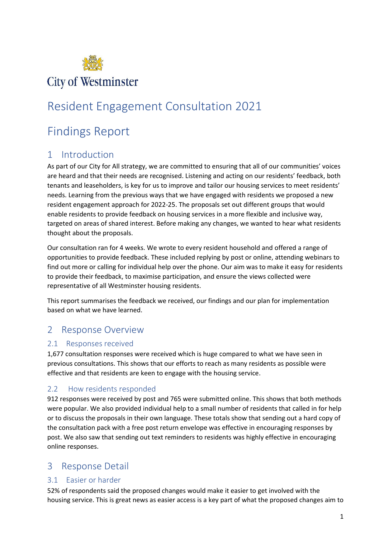

# Resident Engagement Consultation 2021

# Findings Report

## 1 Introduction

As part of our City for All strategy, we are committed to ensuring that all of our communities' voices are heard and that their needs are recognised. Listening and acting on our residents' feedback, both tenants and leaseholders, is key for us to improve and tailor our housing services to meet residents' needs. Learning from the previous ways that we have engaged with residents we proposed a new resident engagement approach for 2022-25. The proposals set out different groups that would enable residents to provide feedback on housing services in a more flexible and inclusive way, targeted on areas of shared interest. Before making any changes, we wanted to hear what residents thought about the proposals.

Our consultation ran for 4 weeks. We wrote to every resident household and offered a range of opportunities to provide feedback. These included replying by post or online, attending webinars to find out more or calling for individual help over the phone. Our aim was to make it easy for residents to provide their feedback, to maximise participation, and ensure the views collected were representative of all Westminster housing residents.

This report summarises the feedback we received, our findings and our plan for implementation based on what we have learned.

## 2 Response Overview

#### 2.1 Responses received

1,677 consultation responses were received which is huge compared to what we have seen in previous consultations. This shows that our efforts to reach as many residents as possible were effective and that residents are keen to engage with the housing service.

#### 2.2 How residents responded

912 responses were received by post and 765 were submitted online. This shows that both methods were popular. We also provided individual help to a small number of residents that called in for help or to discuss the proposals in their own language. These totals show that sending out a hard copy of the consultation pack with a free post return envelope was effective in encouraging responses by post. We also saw that sending out text reminders to residents was highly effective in encouraging online responses.

### 3 Response Detail

#### 3.1 Easier or harder

52% of respondents said the proposed changes would make it easier to get involved with the housing service. This is great news as easier access is a key part of what the proposed changes aim to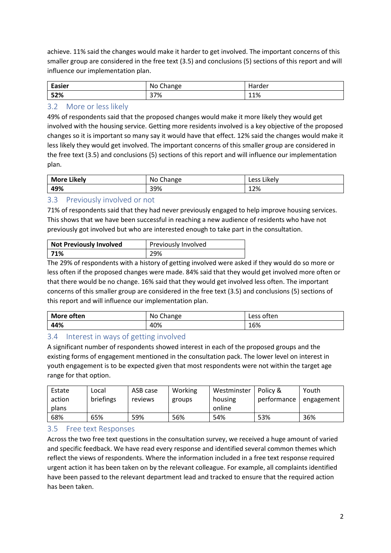achieve. 11% said the changes would make it harder to get involved. The important concerns of this smaller group are considered in the free text (3.5) and conclusions (5) sections of this report and will influence our implementation plan.

| <b>Easier</b> | No<br>Change | 10000000<br>udi ud. |  |
|---------------|--------------|---------------------|--|
| 52%           | 37%          | 11%                 |  |

#### 3.2 More or less likely

49% of respondents said that the proposed changes would make it more likely they would get involved with the housing service. Getting more residents involved is a key objective of the proposed changes so it is important so many say it would have that effect. 12% said the changes would make it less likely they would get involved. The important concerns of this smaller group are considered in the free text (3.5) and conclusions (5) sections of this report and will influence our implementation plan.

| <b>More Likely</b> | No Change | Likely<br>Less |  |
|--------------------|-----------|----------------|--|
| 49%                | 39%       | 12%            |  |

#### 3.3 Previously involved or not

71% of respondents said that they had never previously engaged to help improve housing services. This shows that we have been successful in reaching a new audience of residents who have not previously got involved but who are interested enough to take part in the consultation.

| <b>Not Previously Involved</b> | Previously Involved |  |
|--------------------------------|---------------------|--|
| 171%                           | 29%                 |  |

The 29% of respondents with a history of getting involved were asked if they would do so more or less often if the proposed changes were made. 84% said that they would get involved more often or that there would be no change. 16% said that they would get involved less often. The important concerns of this smaller group are considered in the free text (3.5) and conclusions (5) sections of this report and will influence our implementation plan.

| More often | Change<br>No. | often<br>Less |  |
|------------|---------------|---------------|--|
| 44%        | 40%           | 16%           |  |

#### 3.4 Interest in ways of getting involved

A significant number of respondents showed interest in each of the proposed groups and the existing forms of engagement mentioned in the consultation pack. The lower level on interest in youth engagement is to be expected given that most respondents were not within the target age range for that option.

| Estate | Local     | ASB case | Working | Westminster | Policy &    | Youth      |
|--------|-----------|----------|---------|-------------|-------------|------------|
| action | briefings | reviews  | groups  | housing     | performance | engagement |
| plans  |           |          |         | online      |             |            |
| 68%    | 65%       | 59%      | 56%     | 54%         | 53%         | 36%        |

#### 3.5 Free text Responses

Across the two free text questions in the consultation survey, we received a huge amount of varied and specific feedback. We have read every response and identified several common themes which reflect the views of respondents. Where the information included in a free text response required urgent action it has been taken on by the relevant colleague. For example, all complaints identified have been passed to the relevant department lead and tracked to ensure that the required action has been taken.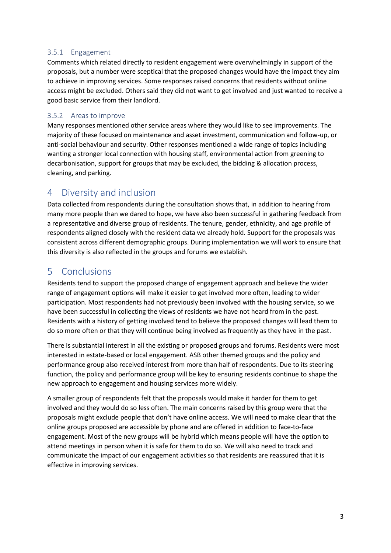#### 3.5.1 Engagement

Comments which related directly to resident engagement were overwhelmingly in support of the proposals, but a number were sceptical that the proposed changes would have the impact they aim to achieve in improving services. Some responses raised concerns that residents without online access might be excluded. Others said they did not want to get involved and just wanted to receive a good basic service from their landlord.

#### 3.5.2 Areas to improve

Many responses mentioned other service areas where they would like to see improvements. The majority of these focused on maintenance and asset investment, communication and follow-up, or anti-social behaviour and security. Other responses mentioned a wide range of topics including wanting a stronger local connection with housing staff, environmental action from greening to decarbonisation, support for groups that may be excluded, the bidding & allocation process, cleaning, and parking.

### 4 Diversity and inclusion

Data collected from respondents during the consultation shows that, in addition to hearing from many more people than we dared to hope, we have also been successful in gathering feedback from a representative and diverse group of residents. The tenure, gender, ethnicity, and age profile of respondents aligned closely with the resident data we already hold. Support for the proposals was consistent across different demographic groups. During implementation we will work to ensure that this diversity is also reflected in the groups and forums we establish.

## 5 Conclusions

Residents tend to support the proposed change of engagement approach and believe the wider range of engagement options will make it easier to get involved more often, leading to wider participation. Most respondents had not previously been involved with the housing service, so we have been successful in collecting the views of residents we have not heard from in the past. Residents with a history of getting involved tend to believe the proposed changes will lead them to do so more often or that they will continue being involved as frequently as they have in the past.

There is substantial interest in all the existing or proposed groups and forums. Residents were most interested in estate-based or local engagement. ASB other themed groups and the policy and performance group also received interest from more than half of respondents. Due to its steering function, the policy and performance group will be key to ensuring residents continue to shape the new approach to engagement and housing services more widely.

A smaller group of respondents felt that the proposals would make it harder for them to get involved and they would do so less often. The main concerns raised by this group were that the proposals might exclude people that don't have online access. We will need to make clear that the online groups proposed are accessible by phone and are offered in addition to face-to-face engagement. Most of the new groups will be hybrid which means people will have the option to attend meetings in person when it is safe for them to do so. We will also need to track and communicate the impact of our engagement activities so that residents are reassured that it is effective in improving services.